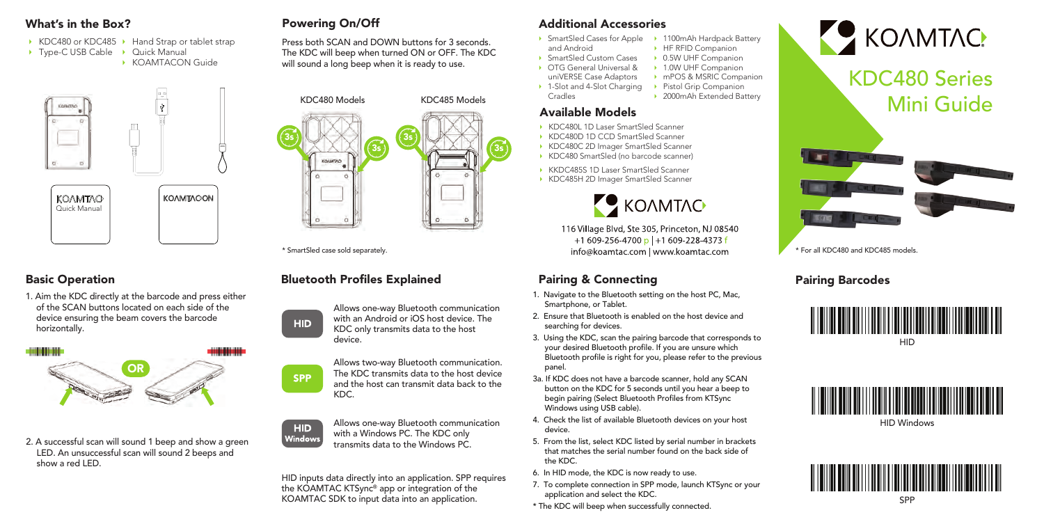- KDC480 or KDC485 Hand Strap or tablet strap
- ▶ Type-C USB Cable ▶ Quick Manual
	- KOAMTACON Guide





## Basic Operation

1. Aim the KDC directly at the barcode and press either of the SCAN buttons located on each side of the device ensuring the beam covers the barcode horizontally.



2. A successful scan will sound 1 beep and show a green LED. An unsuccessful scan will sound 2 beeps and show a red LED.

## Powering On/Off

Press both SCAN and DOWN buttons for 3 seconds. The KDC will beep when turned ON or OFF. The KDC will sound a long beep when it is ready to use.



\* SmartSled case sold separately.

# **Bluetooth Profiles Explained**



Allows two-way Bluetooth communication. The KDC transmits data to the host device and the host can transmit data back to the KDC.



**SPP** 

Allows one-way Bluetooth communication with a Windows PC. The KDC only transmits data to the Windows PC.

HID inputs data directly into an application. SPP requires the KOAMTAC KTSync® app or integration of the KOAMTAC SDK to input data into an application.

## What's in the Box? **Additional Accessories** Powering On/Off **Additional Accessories**

- SmartSled Cases for Apple • 1100mAh Hardpack Battery **E** HF RFID Companion
- and Android • SmartSled Custom Cases
	- 0.5W UHF Companion • 1.0W UHF Companion
- OTG General Universal & uniVERSE Case Adaptors
	- mPOS & MSRIC Companion
- 1-Slot and 4-Slot Charging • Pistol Grip Companion

• 2000mAh Extended Battery

## Available Models

Cradles

- KDC480L 1D Laser SmartSled Scanner
- KDC480D 1D CCD SmartSled Scanner
- KDC480C 2D Imager SmartSled Scanner
- KDC480 SmartSled (no barcode scanner)
- KKDC485S 1D Laser SmartSled Scanner
- KDC485H 2D Imager SmartSled Scanner



116 Village Blvd, Ste 305, Princeton, NJ 08540  $+1609 - 256 - 4700$  p | +1609-228-4373 f info@koamtac.com | www.koamtac.com

# Pairing & Connecting **Pairing Barcodes**

- 1. Navigate to the Bluetooth setting on the host PC, Mac, Smartphone, or Tablet.
- 2. Ensure that Bluetooth is enabled on the host device and searching for devices.
- device.<br>
3. Using the KDC, scan the pairing barcode that corresponds to<br>
Wour desired Bluetoath profile. If you are upsure which your desired Bluetooth profile. If you are unsure which Bluetooth profile is right for you, please refer to the previous panel.
	- 3a. If KDC does not have a barcode scanner, hold any SCAN button on the KDC for 5 seconds until you hear a beep to begin pairing (Select Bluetooth Profiles from KTSync Windows using USB cable).
	- 4. Check the list of available Bluetooth devices on your host device.
	- 5. From the list, select KDC listed by serial number in brackets that matches the serial number found on the back side of the KDC.
	- 6. In HID mode, the KDC is now ready to use.
	- 7. To complete connection in SPP mode, launch KTSync or your application and select the KDC.
	- \* The KDC will beep when successfully connected.



KDC480 Series Mini Guide



\* For all KDC480 and KDC485 models.





HID Windows